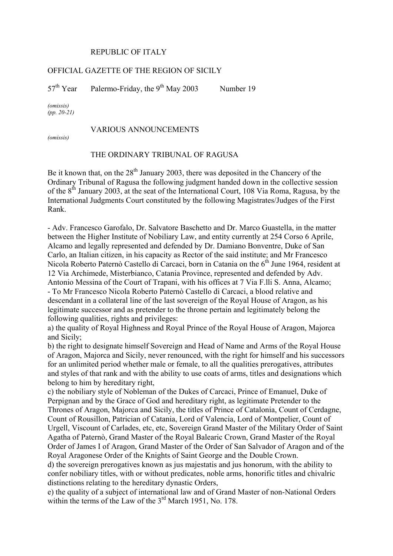## REPUBLIC OF ITALY

## OFFICIAL GAZETTE OF THE REGION OF SICILY

 $57<sup>th</sup> Year$  Palermo-Friday, the 9<sup>th</sup> May 2003 Number 19

*(omissis) (pp. 20-21)* 

## VARIOUS ANNOUNCEMENTS

*(omissis)* 

## THE ORDINARY TRIBUNAL OF RAGUSA

Be it known that, on the  $28<sup>th</sup>$  January 2003, there was deposited in the Chancery of the Ordinary Tribunal of Ragusa the following judgment handed down in the collective session of the  $8<sup>th</sup>$  January 2003, at the seat of the International Court, 108 Via Roma, Ragusa, by the International Judgments Court constituted by the following Magistrates/Judges of the First Rank.

- Adv. Francesco Garofalo, Dr. Salvatore Baschetto and Dr. Marco Guastella, in the matter between the Higher Institute of Nobiliary Law, and entity currently at 254 Corso 6 Aprile, Alcamo and legally represented and defended by Dr. Damiano Bonventre, Duke of San Carlo, an Italian citizen, in his capacity as Rector of the said institute; and Mr Francesco Nicola Roberto Paternò Castello di Carcaci, born in Catania on the  $6<sup>th</sup>$  June 1964, resident at 12 Via Archimede, Misterbianco, Catania Province, represented and defended by Adv. Antonio Messina of the Court of Trapani, with his offices at 7 Via F.lli S. Anna, Alcamo; - To Mr Francesco Nicola Roberto Paternò Castello di Carcaci, a blood relative and descendant in a collateral line of the last sovereign of the Royal House of Aragon, as his legitimate successor and as pretender to the throne pertain and legitimately belong the following qualities, rights and privileges:

a) the quality of Royal Highness and Royal Prince of the Royal House of Aragon, Majorca and Sicily;

b) the right to designate himself Sovereign and Head of Name and Arms of the Royal House of Aragon, Majorca and Sicily, never renounced, with the right for himself and his successors for an unlimited period whether male or female, to all the qualities prerogatives, attributes and styles of that rank and with the ability to use coats of arms, titles and designations which belong to him by hereditary right,

c) the nobiliary style of Nobleman of the Dukes of Carcaci, Prince of Emanuel, Duke of Perpignan and by the Grace of God and hereditary right, as legitimate Pretender to the Thrones of Aragon, Majorca and Sicily, the titles of Prince of Catalonia, Count of Cerdagne, Count of Rousillon, Patrician of Catania, Lord of Valencia, Lord of Montpelier, Count of Urgell, Viscount of Carlades, etc, etc, Sovereign Grand Master of the Military Order of Saint Agatha of Paternò, Grand Master of the Royal Balearic Crown, Grand Master of the Royal Order of James I of Aragon, Grand Master of the Order of San Salvador of Aragon and of the Royal Aragonese Order of the Knights of Saint George and the Double Crown.

d) the sovereign prerogatives known as jus majestatis and jus honorum, with the ability to confer nobiliary titles, with or without predicates, noble arms, honorific titles and chivalric distinctions relating to the hereditary dynastic Orders,

e) the quality of a subject of international law and of Grand Master of non-National Orders within the terms of the Law of the 3<sup>rd</sup> March 1951, No. 178.